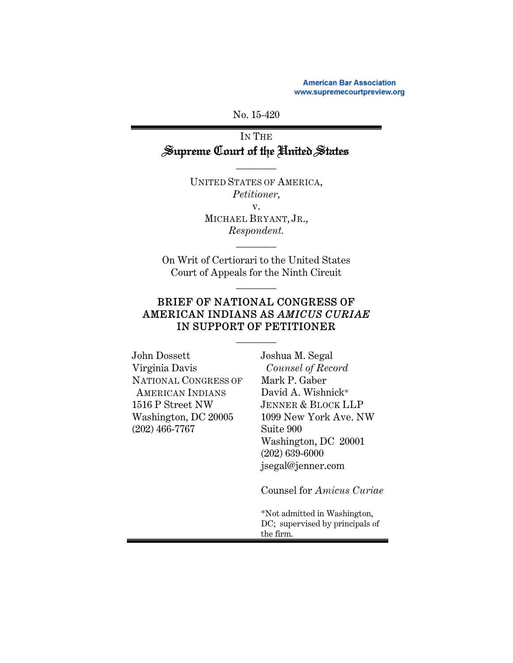**American Bar Association** www.supremecourtpreview.org

No. 15-420

IN THE Supreme Court of the United States

\_\_\_\_\_\_\_\_

UNITED STATES OF AMERICA, *Petitioner,*  v. MICHAEL BRYANT, JR., *Respondent.* 

On Writ of Certiorari to the United States Court of Appeals for the Ninth Circuit

\_\_\_\_\_\_\_\_

\_\_\_\_\_\_\_\_

## BRIEF OF NATIONAL CONGRESS OF AMERICAN INDIANS AS *AMICUS CURIAE* IN SUPPORT OF PETITIONER

\_\_\_\_\_\_\_\_

| John Dossett            | Jos     |
|-------------------------|---------|
| Virginia Davis          | C       |
| NATIONAL CONGRESS OF    | $\rm M$ |
| <b>AMERICAN INDIANS</b> | Da      |
| 1516 P Street NW        | $J_E$   |
| Washington, DC 20005    | 109     |
| $(202)$ 466-7767        | Su      |
|                         | W:      |
|                         | (20     |
|                         |         |

shua M. Segal *Counsel of Record* ark P. Gaber avid A. Wishnick\* JENNER & BLOCK LLP 1099 New York Ave. NW ite 900 ashington, DC 20001 02) 639-6000 jsegal@jenner.com

Counsel for *Amicus Curiae* 

\*Not admitted in Washington, DC; supervised by principals of the firm.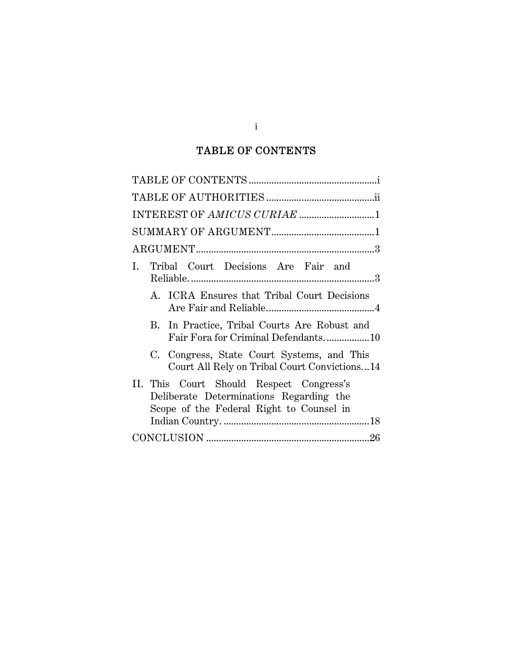# TABLE OF CONTENTS

| INTEREST OF AMICUS CURIAE 1                                                                                                     |
|---------------------------------------------------------------------------------------------------------------------------------|
|                                                                                                                                 |
|                                                                                                                                 |
| I. Tribal Court Decisions Are Fair and                                                                                          |
| A. ICRA Ensures that Tribal Court Decisions                                                                                     |
| B. In Practice, Tribal Courts Are Robust and<br>Fair Fora for Criminal Defendants10                                             |
| C. Congress, State Court Systems, and This<br>Court All Rely on Tribal Court Convictions14                                      |
| II. This Court Should Respect Congress's<br>Deliberate Determinations Regarding the<br>Scope of the Federal Right to Counsel in |
|                                                                                                                                 |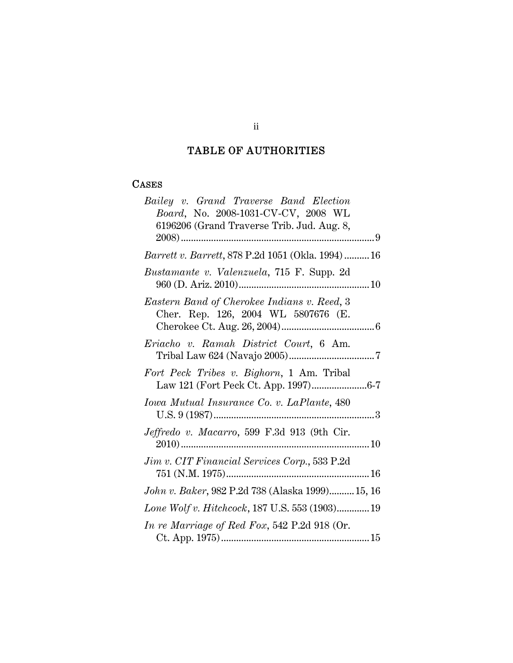# TABLE OF AUTHORITIES

## **CASES**

| Bailey v. Grand Traverse Band Election<br>Board, No. 2008-1031-CV-CV, 2008 WL<br>6196206 (Grand Traverse Trib. Jud. Aug. 8, |
|-----------------------------------------------------------------------------------------------------------------------------|
|                                                                                                                             |
| <i>Barrett v. Barrett, 878 P.2d 1051 (Okla. 1994)16</i>                                                                     |
| Bustamante v. Valenzuela, 715 F. Supp. 2d                                                                                   |
| Eastern Band of Cherokee Indians v. Reed, 3<br>Cher. Rep. 126, 2004 WL 5807676 (E.                                          |
| Eriacho v. Ramah District Court, 6 Am.                                                                                      |
| Fort Peck Tribes v. Bighorn, 1 Am. Tribal                                                                                   |
| Iowa Mutual Insurance Co. v. LaPlante, 480                                                                                  |
| Jeffredo v. Macarro, 599 F.3d 913 (9th Cir.                                                                                 |
| <i>Jim v. CIT Financial Services Corp.</i> , 533 P.2d                                                                       |
| John v. Baker, 982 P.2d 738 (Alaska 1999) 15, 16                                                                            |
| Lone Wolf v. Hitchcock, 187 U.S. 553 (1903) 19                                                                              |
| In re Marriage of Red Fox, 542 P.2d 918 (Or.                                                                                |

ii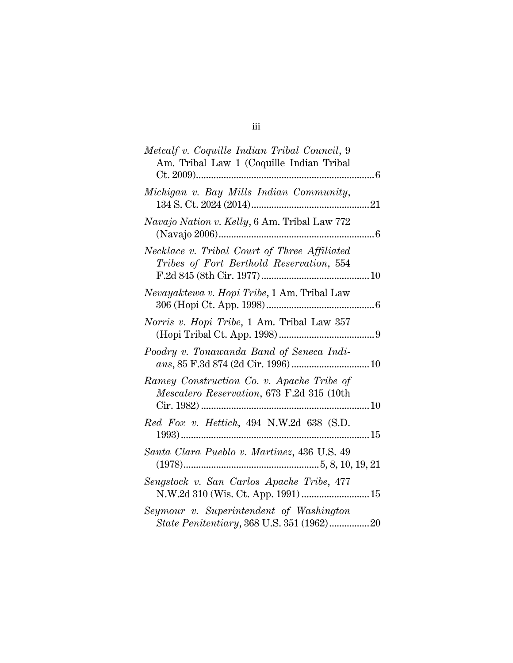| Metcalf v. Coquille Indian Tribal Council, 9<br>Am. Tribal Law 1 (Coquille Indian Tribal |
|------------------------------------------------------------------------------------------|
| Michigan v. Bay Mills Indian Community,                                                  |
| Navajo Nation v. Kelly, 6 Am. Tribal Law 772                                             |
| Necklace v. Tribal Court of Three Affiliated<br>Tribes of Fort Berthold Reservation, 554 |
| Nevayaktewa v. Hopi Tribe, 1 Am. Tribal Law                                              |
| Norris v. Hopi Tribe, 1 Am. Tribal Law 357                                               |
| Poodry v. Tonawanda Band of Seneca Indi-                                                 |
| Ramey Construction Co. v. Apache Tribe of<br>Mescalero Reservation, 673 F.2d 315 (10th   |
| Red Fox v. Hettich, 494 N.W.2d 638 (S.D.                                                 |
| Santa Clara Pueblo v. Martinez, 436 U.S. 49                                              |
| Sengstock v. San Carlos Apache Tribe, 477<br>N.W.2d 310 (Wis. Ct. App. 1991)  15         |
| Seymour v. Superintendent of Washington                                                  |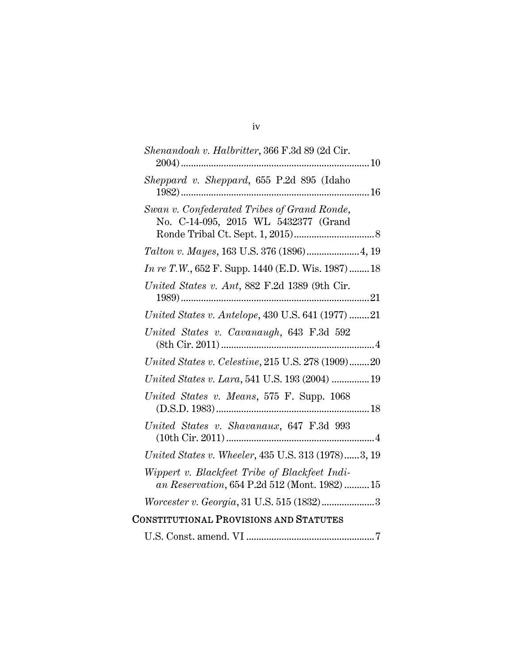| Shenandoah v. Halbritter, 366 F.3d 89 (2d Cir.                                                 |
|------------------------------------------------------------------------------------------------|
| Sheppard v. Sheppard, 655 P.2d 895 (Idaho                                                      |
| Swan v. Confederated Tribes of Grand Ronde,<br>No. C-14-095, 2015 WL 5432377 (Grand            |
| Talton v. Mayes, 163 U.S. 376 (1896) 4, 19                                                     |
| <i>In re T.W.</i> , 652 F. Supp. 1440 (E.D. Wis. 1987)  18                                     |
| United States v. Ant, 882 F.2d 1389 (9th Cir.                                                  |
| United States v. Antelope, 430 U.S. 641 (1977) 21                                              |
| United States v. Cavanaugh, 643 F.3d 592                                                       |
| United States v. Celestine, 215 U.S. 278 (1909)20                                              |
| United States v. Lara, 541 U.S. 193 (2004)  19                                                 |
| United States v. Means, 575 F. Supp. 1068                                                      |
| United States v. Shavanaux, 647 F.3d 993                                                       |
| United States v. Wheeler, 435 U.S. 313 (1978)3, 19                                             |
| Wippert v. Blackfeet Tribe of Blackfeet Indi-<br>an Reservation, 654 P.2d 512 (Mont. 1982)  15 |
| Worcester v. Georgia, 31 U.S. 515 (1832)3                                                      |
| <b>CONSTITUTIONAL PROVISIONS AND STATUTES</b>                                                  |
|                                                                                                |

iv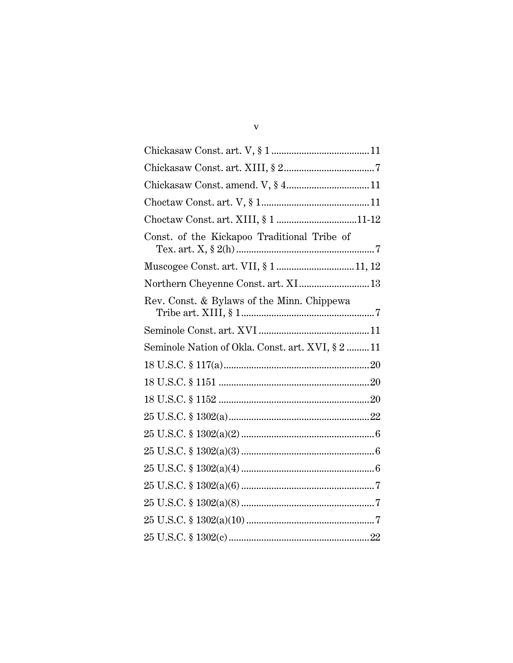| Chickasaw Const. amend. V, § 411                  |  |
|---------------------------------------------------|--|
|                                                   |  |
| Choctaw Const. art. XIII, § 1 11-12               |  |
| Const. of the Kickapoo Traditional Tribe of       |  |
| Muscogee Const. art. VII, § 111, 12               |  |
| Northern Cheyenne Const. art. XI 13               |  |
| Rev. Const. & Bylaws of the Minn. Chippewa        |  |
|                                                   |  |
| Seminole Nation of Okla. Const. art. XVI, § 2  11 |  |
|                                                   |  |
|                                                   |  |
|                                                   |  |
|                                                   |  |
|                                                   |  |
|                                                   |  |
|                                                   |  |
|                                                   |  |
|                                                   |  |
|                                                   |  |
|                                                   |  |

 $\mathbf{V}$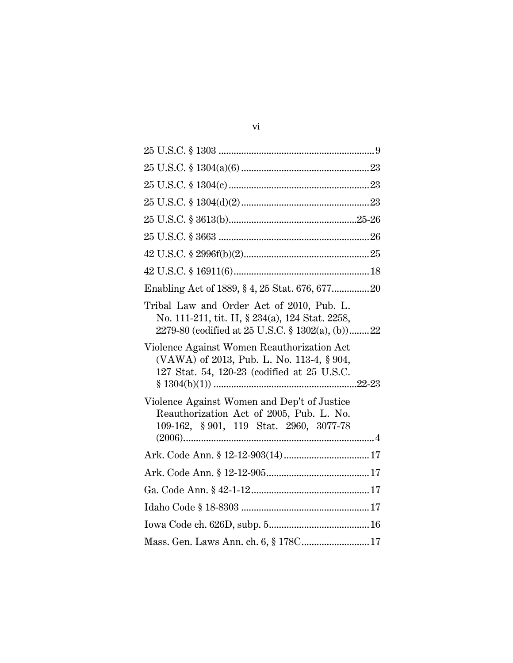| Tribal Law and Order Act of 2010, Pub. L.<br>No. 111-211, tit. II, § 234(a), 124 Stat. 2258,<br>2279-80 (codified at 25 U.S.C. § 1302(a), (b))22 |  |
|--------------------------------------------------------------------------------------------------------------------------------------------------|--|
| Violence Against Women Reauthorization Act<br>(VAWA) of 2013, Pub. L. No. 113-4, § 904,<br>127 Stat. 54, 120-23 (codified at 25 U.S.C.           |  |
| Violence Against Women and Dep't of Justice<br>Reauthorization Act of 2005, Pub. L. No.<br>109-162, § 901, 119 Stat. 2960, 3077-78               |  |
|                                                                                                                                                  |  |
|                                                                                                                                                  |  |
|                                                                                                                                                  |  |
|                                                                                                                                                  |  |
|                                                                                                                                                  |  |
| Mass. Gen. Laws Ann. ch. 6, § 178C 17                                                                                                            |  |
|                                                                                                                                                  |  |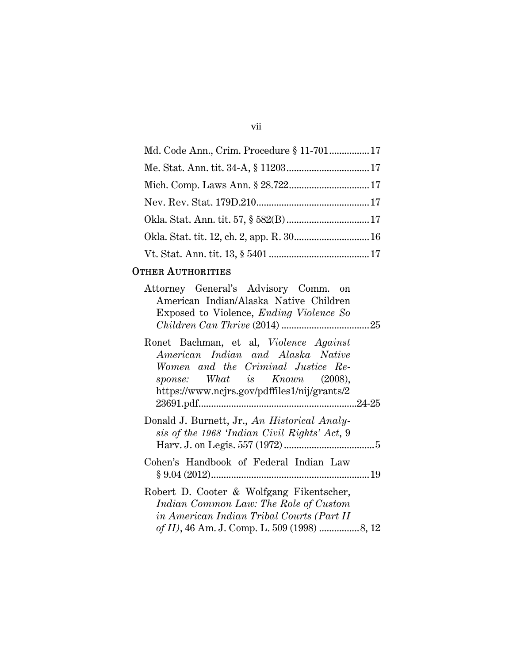| ×<br>٠ | ×<br>۰. |  |
|--------|---------|--|
|        |         |  |

| Md. Code Ann., Crim. Procedure § 11-701 17 |  |
|--------------------------------------------|--|
|                                            |  |
|                                            |  |
|                                            |  |
|                                            |  |
|                                            |  |
|                                            |  |

## OTHER AUTHORITIES

| Attorney General's Advisory Comm. on<br>American Indian/Alaska Native Children |  |
|--------------------------------------------------------------------------------|--|
|                                                                                |  |
| Exposed to Violence, <i>Ending Violence</i> So                                 |  |
|                                                                                |  |
| Ronet Bachman, et al, Violence Against                                         |  |
| American Indian and Alaska Native                                              |  |
| Women and the Criminal Justice Re-                                             |  |
| sponse: What is Known (2008),                                                  |  |
| https://www.ncjrs.gov/pdffiles1/nij/grants/2                                   |  |
|                                                                                |  |
| Donald J. Burnett, Jr., An Historical Analy-                                   |  |
| sis of the 1968 'Indian Civil Rights' Act, 9                                   |  |
|                                                                                |  |
| Cohen's Handbook of Federal Indian Law                                         |  |
|                                                                                |  |
|                                                                                |  |
| Robert D. Cooter & Wolfgang Fikentscher,                                       |  |
| Indian Common Law: The Role of Custom                                          |  |
| in American Indian Tribal Courts (Part II                                      |  |
|                                                                                |  |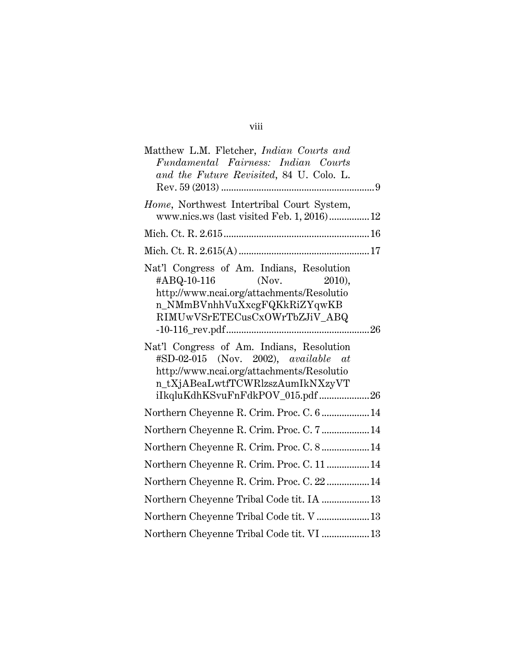| Matthew L.M. Fletcher, Indian Courts and<br>Fundamental Fairness: Indian Courts<br>and the Future Revisited, 84 U. Colo. L.                                                                                      |
|------------------------------------------------------------------------------------------------------------------------------------------------------------------------------------------------------------------|
| Home, Northwest Intertribal Court System,<br>www.nics.ws (last visited Feb. 1, 2016) 12                                                                                                                          |
|                                                                                                                                                                                                                  |
|                                                                                                                                                                                                                  |
| Nat'l Congress of Am. Indians, Resolution<br>$\#ABQ-10-116$ (Nov.<br>2010).<br>http://www.ncai.org/attachments/Resolutio<br>n_NMmBVnhhVuXxcgFQKkRiZYqwKB<br>RIMUwVSrETECusCxOWrTbZJiV_ABQ                        |
| Nat'l Congress of Am. Indians, Resolution<br>$\#\text{SD-02-015}$ (Nov. 2002), available at<br>http://www.ncai.org/attachments/Resolutio<br>n_tXjABeaLwtfTCWRlzszAumIkNXzyVT<br>iIkqluKdhKSvuFnFdkPOV_015.pdf 26 |
| Northern Cheyenne R. Crim. Proc. C. 6  14                                                                                                                                                                        |
| Northern Cheyenne R. Crim. Proc. C. 7  14                                                                                                                                                                        |
| Northern Cheyenne R. Crim. Proc. C. 8  14                                                                                                                                                                        |
| Northern Cheyenne R. Crim. Proc. C. 11  14                                                                                                                                                                       |
| Northern Cheyenne R. Crim. Proc. C. 22  14                                                                                                                                                                       |
| Northern Cheyenne Tribal Code tit. IA  13                                                                                                                                                                        |
| Northern Cheyenne Tribal Code tit. V  13                                                                                                                                                                         |
| Northern Cheyenne Tribal Code tit. VI  13                                                                                                                                                                        |

# viii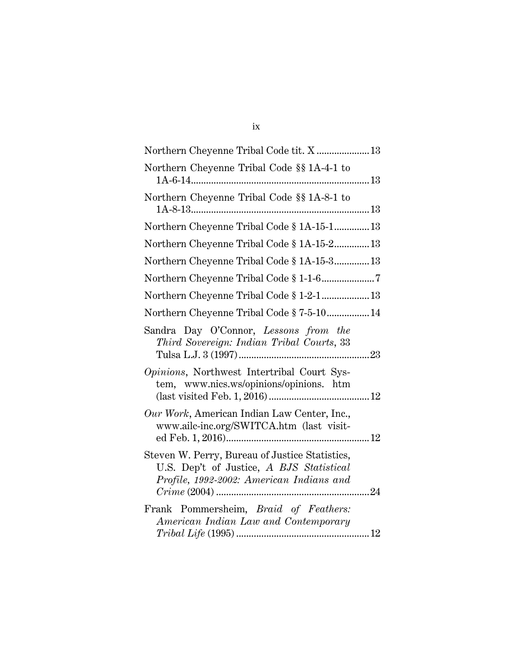# ix

| Northern Cheyenne Tribal Code tit. X  13                                                                                               |
|----------------------------------------------------------------------------------------------------------------------------------------|
| Northern Cheyenne Tribal Code §§ 1A-4-1 to                                                                                             |
| Northern Cheyenne Tribal Code §§ 1A-8-1 to                                                                                             |
| Northern Cheyenne Tribal Code § 1A-15-1 13                                                                                             |
| Northern Cheyenne Tribal Code § 1A-15-213                                                                                              |
| Northern Cheyenne Tribal Code § 1A-15-3 13                                                                                             |
|                                                                                                                                        |
| Northern Cheyenne Tribal Code § 1-2-1 13                                                                                               |
| Northern Cheyenne Tribal Code § 7-5-10 14                                                                                              |
| Sandra Day O'Connor, Lessons from the<br>Third Sovereign: Indian Tribal Courts, 33                                                     |
| Opinions, Northwest Intertribal Court Sys-<br>tem, www.nics.ws/opinions/opinions. htm                                                  |
| Our Work, American Indian Law Center, Inc.,<br>www.ailc-inc.org/SWITCA.htm (last visit-                                                |
| Steven W. Perry, Bureau of Justice Statistics,<br>U.S. Dep't of Justice, A BJS Statistical<br>Profile, 1992-2002: American Indians and |
| Frank Pommersheim, Braid of Feathers:<br>American Indian Law and Contemporary                                                          |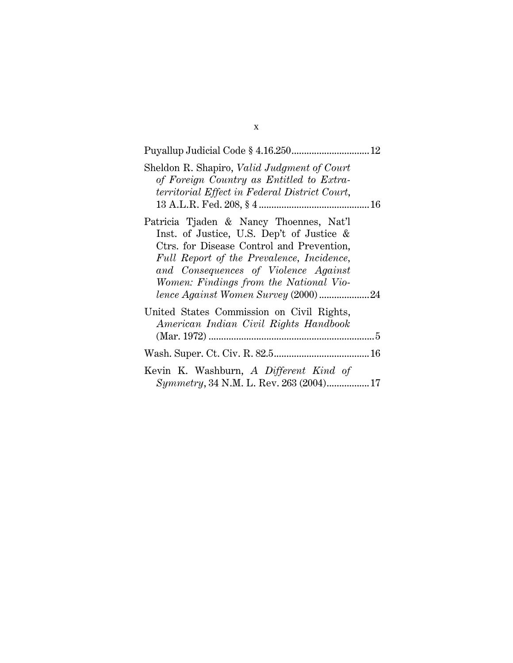| Sheldon R. Shapiro, <i>Valid Judgment of Court</i><br>of Foreign Country as Entitled to Extra-<br>territorial Effect in Federal District Court,                                                                                                                                                         |
|---------------------------------------------------------------------------------------------------------------------------------------------------------------------------------------------------------------------------------------------------------------------------------------------------------|
| Patricia Tjaden & Nancy Thoennes, Nat'l<br>Inst. of Justice, U.S. Dep't of Justice &<br>Ctrs. for Disease Control and Prevention,<br>Full Report of the Prevalence, Incidence,<br>and Consequences of Violence Against<br>Women: Findings from the National Vio-<br>lence Against Women Survey (2000)24 |
| United States Commission on Civil Rights,<br>American Indian Civil Rights Handbook                                                                                                                                                                                                                      |
|                                                                                                                                                                                                                                                                                                         |
| Kevin K. Washburn, A Different Kind of<br>Symmetry, 34 N.M. L. Rev. 263 (2004) 17                                                                                                                                                                                                                       |

x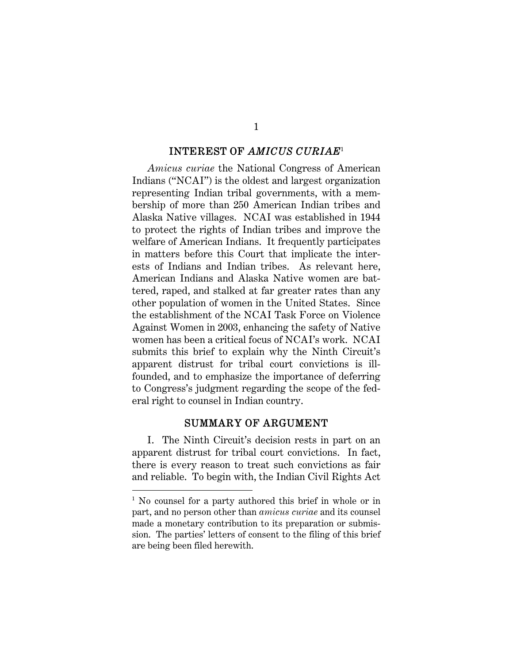#### INTEREST OF *AMICUS CURIAE*<sup>1</sup>

*Amicus curiae* the National Congress of American Indians ("NCAI") is the oldest and largest organization representing Indian tribal governments, with a membership of more than 250 American Indian tribes and Alaska Native villages. NCAI was established in 1944 to protect the rights of Indian tribes and improve the welfare of American Indians. It frequently participates in matters before this Court that implicate the interests of Indians and Indian tribes. As relevant here, American Indians and Alaska Native women are battered, raped, and stalked at far greater rates than any other population of women in the United States. Since the establishment of the NCAI Task Force on Violence Against Women in 2003, enhancing the safety of Native women has been a critical focus of NCAI's work. NCAI submits this brief to explain why the Ninth Circuit's apparent distrust for tribal court convictions is illfounded, and to emphasize the importance of deferring to Congress's judgment regarding the scope of the federal right to counsel in Indian country.

#### SUMMARY OF ARGUMENT

I. The Ninth Circuit's decision rests in part on an apparent distrust for tribal court convictions. In fact, there is every reason to treat such convictions as fair and reliable. To begin with, the Indian Civil Rights Act

 $\overline{a}$ 

<sup>&</sup>lt;sup>1</sup> No counsel for a party authored this brief in whole or in part, and no person other than *amicus curiae* and its counsel made a monetary contribution to its preparation or submission. The parties' letters of consent to the filing of this brief are being been filed herewith.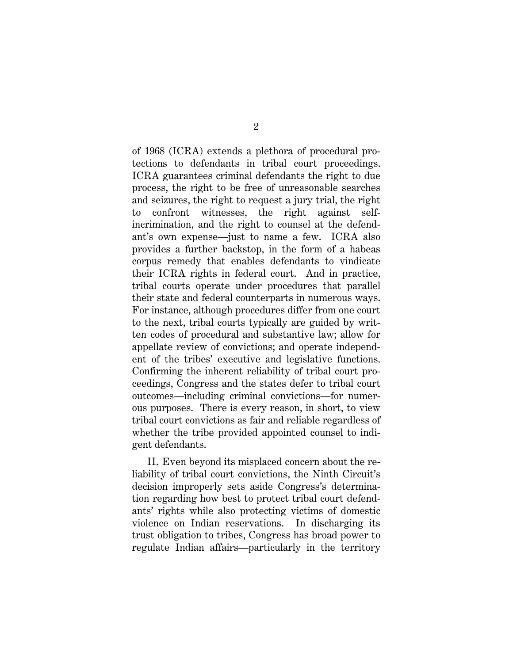of 1968 (ICRA) extends a plethora of procedural protections to defendants in tribal court proceedings. ICRA guarantees criminal defendants the right to due process, the right to be free of unreasonable searches and seizures, the right to request a jury trial, the right to confront witnesses, the right against selfincrimination, and the right to counsel at the defendant's own expense—just to name a few. ICRA also provides a further backstop, in the form of a habeas corpus remedy that enables defendants to vindicate their ICRA rights in federal court. And in practice, tribal courts operate under procedures that parallel their state and federal counterparts in numerous ways. For instance, although procedures differ from one court to the next, tribal courts typically are guided by written codes of procedural and substantive law; allow for appellate review of convictions; and operate independent of the tribes' executive and legislative functions. Confirming the inherent reliability of tribal court proceedings, Congress and the states defer to tribal court outcomes—including criminal convictions—for numerous purposes. There is every reason, in short, to view tribal court convictions as fair and reliable regardless of whether the tribe provided appointed counsel to indigent defendants.

II. Even beyond its misplaced concern about the reliability of tribal court convictions, the Ninth Circuit's decision improperly sets aside Congress's determination regarding how best to protect tribal court defendants' rights while also protecting victims of domestic violence on Indian reservations. In discharging its trust obligation to tribes, Congress has broad power to regulate Indian affairs—particularly in the territory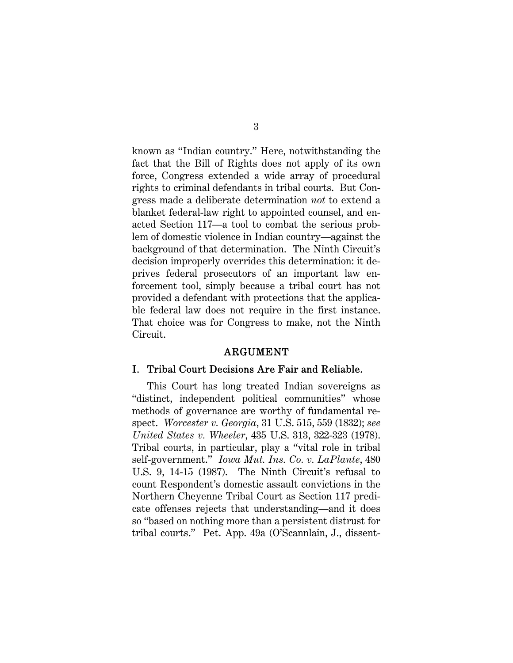known as "Indian country." Here, notwithstanding the fact that the Bill of Rights does not apply of its own force, Congress extended a wide array of procedural rights to criminal defendants in tribal courts. But Congress made a deliberate determination *not* to extend a blanket federal-law right to appointed counsel, and enacted Section 117—a tool to combat the serious problem of domestic violence in Indian country—against the background of that determination. The Ninth Circuit's decision improperly overrides this determination: it deprives federal prosecutors of an important law enforcement tool, simply because a tribal court has not provided a defendant with protections that the applicable federal law does not require in the first instance. That choice was for Congress to make, not the Ninth Circuit.

#### ARGUMENT

#### I. Tribal Court Decisions Are Fair and Reliable.

This Court has long treated Indian sovereigns as "distinct, independent political communities" whose methods of governance are worthy of fundamental respect. *Worcester v. Georgia*, 31 U.S. 515, 559 (1832); *see United States v. Wheeler*, 435 U.S. 313, 322-323 (1978). Tribal courts, in particular, play a "vital role in tribal self-government." *Iowa Mut. Ins. Co. v. LaPlante*, 480 U.S. 9, 14-15 (1987). The Ninth Circuit's refusal to count Respondent's domestic assault convictions in the Northern Cheyenne Tribal Court as Section 117 predicate offenses rejects that understanding—and it does so "based on nothing more than a persistent distrust for tribal courts." Pet. App. 49a (O'Scannlain, J., dissent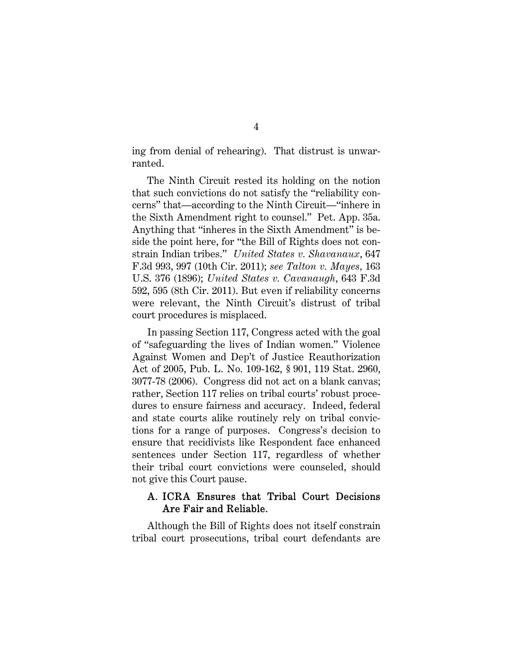ing from denial of rehearing). That distrust is unwarranted.

The Ninth Circuit rested its holding on the notion that such convictions do not satisfy the "reliability concerns" that—according to the Ninth Circuit—"inhere in the Sixth Amendment right to counsel." Pet. App. 35a. Anything that "inheres in the Sixth Amendment" is beside the point here, for "the Bill of Rights does not constrain Indian tribes." *United States v. Shavanaux*, 647 F.3d 993, 997 (10th Cir. 2011); *see Talton v. Mayes,* 163 U.S. 376 (1896); *United States v. Cavanaugh*, 643 F.3d 592, 595 (8th Cir. 2011). But even if reliability concerns were relevant, the Ninth Circuit's distrust of tribal court procedures is misplaced.

In passing Section 117, Congress acted with the goal of "safeguarding the lives of Indian women." Violence Against Women and Dep't of Justice Reauthorization Act of 2005, Pub. L. No. 109-162, § 901, 119 Stat. 2960, 3077-78 (2006). Congress did not act on a blank canvas; rather, Section 117 relies on tribal courts' robust procedures to ensure fairness and accuracy. Indeed, federal and state courts alike routinely rely on tribal convictions for a range of purposes. Congress's decision to ensure that recidivists like Respondent face enhanced sentences under Section 117, regardless of whether their tribal court convictions were counseled, should not give this Court pause.

### A. ICRA Ensures that Tribal Court Decisions Are Fair and Reliable.

Although the Bill of Rights does not itself constrain tribal court prosecutions, tribal court defendants are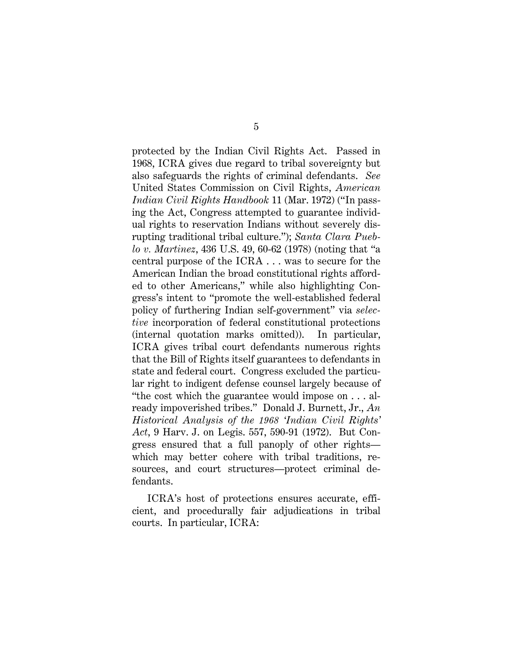protected by the Indian Civil Rights Act. Passed in 1968, ICRA gives due regard to tribal sovereignty but also safeguards the rights of criminal defendants. *See*  United States Commission on Civil Rights, *American Indian Civil Rights Handbook* 11 (Mar. 1972) ("In passing the Act, Congress attempted to guarantee individual rights to reservation Indians without severely disrupting traditional tribal culture."); *Santa Clara Pueblo v. Martinez*, 436 U.S. 49, 60-62 (1978) (noting that "a central purpose of the ICRA . . . was to secure for the American Indian the broad constitutional rights afforded to other Americans," while also highlighting Congress's intent to "promote the well-established federal policy of furthering Indian self-government" via *selective* incorporation of federal constitutional protections (internal quotation marks omitted)). In particular, ICRA gives tribal court defendants numerous rights that the Bill of Rights itself guarantees to defendants in state and federal court. Congress excluded the particular right to indigent defense counsel largely because of "the cost which the guarantee would impose on . . . already impoverished tribes." Donald J. Burnett, Jr., *An Historical Analysis of the 1968 'Indian Civil Rights' Act*, 9 Harv. J. on Legis. 557, 590-91 (1972). But Congress ensured that a full panoply of other rights which may better cohere with tribal traditions, resources, and court structures—protect criminal defendants.

ICRA's host of protections ensures accurate, efficient, and procedurally fair adjudications in tribal courts. In particular, ICRA: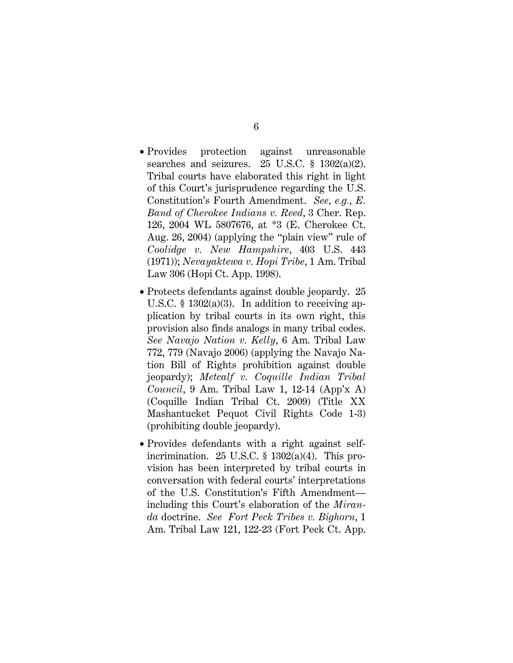- Provides protection against unreasonable searches and seizures. 25 U.S.C. § 1302(a)(2). Tribal courts have elaborated this right in light of this Court's jurisprudence regarding the U.S. Constitution's Fourth Amendment. *See, e.g.*, *E. Band of Cherokee Indians v. Reed*, 3 Cher. Rep. 126, 2004 WL 5807676, at \*3 (E. Cherokee Ct. Aug. 26, 2004) (applying the "plain view" rule of *Coolidge v. New Hampshire*, 403 U.S. 443 (1971)); *Nevayaktewa v. Hopi Tribe*, 1 Am. Tribal Law 306 (Hopi Ct. App. 1998).
- Protects defendants against double jeopardy. 25 U.S.C.  $\S$  1302(a)(3). In addition to receiving application by tribal courts in its own right, this provision also finds analogs in many tribal codes. *See Navajo Nation v. Kelly*, 6 Am. Tribal Law 772, 779 (Navajo 2006) (applying the Navajo Nation Bill of Rights prohibition against double jeopardy); *Metcalf v. Coquille Indian Tribal Council*, 9 Am. Tribal Law 1, 12-14 (App'x A) (Coquille Indian Tribal Ct. 2009) (Title XX Mashantucket Pequot Civil Rights Code 1-3) (prohibiting double jeopardy).
- Provides defendants with a right against selfincrimination. 25 U.S.C.  $\S$  1302(a)(4). This provision has been interpreted by tribal courts in conversation with federal courts' interpretations of the U.S. Constitution's Fifth Amendment including this Court's elaboration of the *Miranda* doctrine. *See Fort Peck Tribes v. Bighorn*, 1 Am. Tribal Law 121, 122-23 (Fort Peck Ct. App.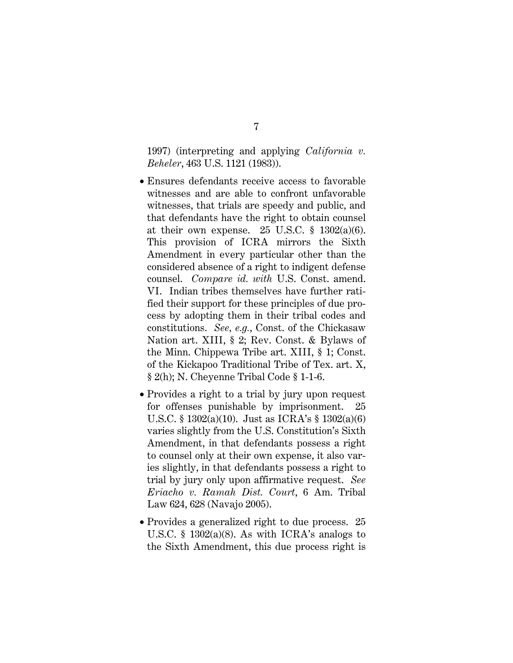1997) (interpreting and applying *California v. Beheler*, 463 U.S. 1121 (1983)).

- Ensures defendants receive access to favorable witnesses and are able to confront unfavorable witnesses, that trials are speedy and public, and that defendants have the right to obtain counsel at their own expense. 25 U.S.C.  $\S$  1302(a)(6). This provision of ICRA mirrors the Sixth Amendment in every particular other than the considered absence of a right to indigent defense counsel. *Compare id. with* U.S. Const. amend. VI. Indian tribes themselves have further ratified their support for these principles of due process by adopting them in their tribal codes and constitutions. *See, e.g.*, Const. of the Chickasaw Nation art. XIII, § 2; Rev. Const. & Bylaws of the Minn. Chippewa Tribe art. XIII, § 1; Const. of the Kickapoo Traditional Tribe of Tex. art. X, § 2(h); N. Cheyenne Tribal Code § 1-1-6.
- Provides a right to a trial by jury upon request for offenses punishable by imprisonment. 25 U.S.C. § 1302(a)(10). Just as ICRA's § 1302(a)(6) varies slightly from the U.S. Constitution's Sixth Amendment, in that defendants possess a right to counsel only at their own expense, it also varies slightly, in that defendants possess a right to trial by jury only upon affirmative request. *See Eriacho v. Ramah Dist. Court*, 6 Am. Tribal Law 624, 628 (Navajo 2005).
- Provides a generalized right to due process. 25 U.S.C. § 1302(a)(8). As with ICRA's analogs to the Sixth Amendment, this due process right is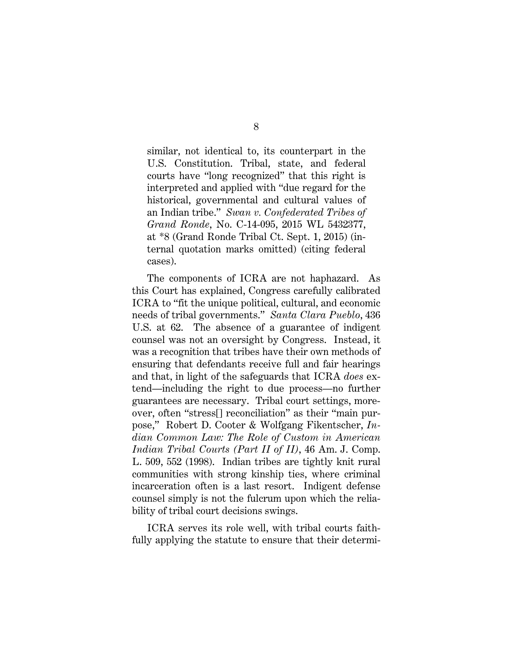similar, not identical to, its counterpart in the U.S. Constitution. Tribal, state, and federal courts have "long recognized" that this right is interpreted and applied with "due regard for the historical, governmental and cultural values of an Indian tribe." *Swan v. Confederated Tribes of Grand Ronde*, No. C-14-095, 2015 WL 5432377, at \*8 (Grand Ronde Tribal Ct. Sept. 1, 2015) (internal quotation marks omitted) (citing federal cases).

The components of ICRA are not haphazard. As this Court has explained, Congress carefully calibrated ICRA to "fit the unique political, cultural, and economic needs of tribal governments." *Santa Clara Pueblo*, 436 U.S. at 62. The absence of a guarantee of indigent counsel was not an oversight by Congress. Instead, it was a recognition that tribes have their own methods of ensuring that defendants receive full and fair hearings and that, in light of the safeguards that ICRA *does* extend—including the right to due process—no further guarantees are necessary. Tribal court settings, moreover, often "stress[] reconciliation" as their "main purpose," Robert D. Cooter & Wolfgang Fikentscher, *Indian Common Law: The Role of Custom in American Indian Tribal Courts (Part II of II)*, 46 Am. J. Comp. L. 509, 552 (1998). Indian tribes are tightly knit rural communities with strong kinship ties, where criminal incarceration often is a last resort. Indigent defense counsel simply is not the fulcrum upon which the reliability of tribal court decisions swings.

ICRA serves its role well, with tribal courts faithfully applying the statute to ensure that their determi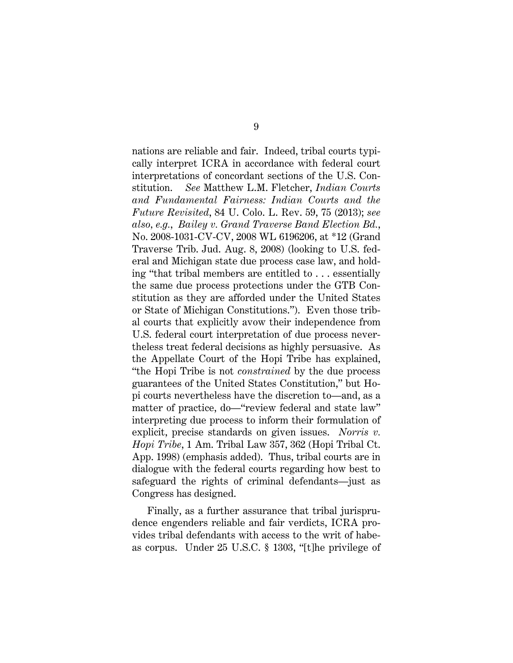nations are reliable and fair. Indeed, tribal courts typically interpret ICRA in accordance with federal court interpretations of concordant sections of the U.S. Constitution. *See* Matthew L.M. Fletcher, *Indian Courts and Fundamental Fairness: Indian Courts and the Future Revisited*, 84 U. Colo. L. Rev. 59, 75 (2013); *see also, e.g.*, *Bailey v. Grand Traverse Band Election Bd.*, No. 2008-1031-CV-CV, 2008 WL 6196206, at \*12 (Grand Traverse Trib. Jud. Aug. 8, 2008) (looking to U.S. federal and Michigan state due process case law, and holding "that tribal members are entitled to . . . essentially the same due process protections under the GTB Constitution as they are afforded under the United States or State of Michigan Constitutions."). Even those tribal courts that explicitly avow their independence from U.S. federal court interpretation of due process nevertheless treat federal decisions as highly persuasive. As the Appellate Court of the Hopi Tribe has explained, "the Hopi Tribe is not *constrained* by the due process guarantees of the United States Constitution," but Hopi courts nevertheless have the discretion to—and, as a matter of practice, do—"review federal and state law" interpreting due process to inform their formulation of explicit, precise standards on given issues. *Norris v. Hopi Tribe*, 1 Am. Tribal Law 357, 362 (Hopi Tribal Ct. App. 1998) (emphasis added). Thus, tribal courts are in dialogue with the federal courts regarding how best to safeguard the rights of criminal defendants—just as Congress has designed.

Finally, as a further assurance that tribal jurisprudence engenders reliable and fair verdicts, ICRA provides tribal defendants with access to the writ of habeas corpus. Under 25 U.S.C. § 1303, "[t]he privilege of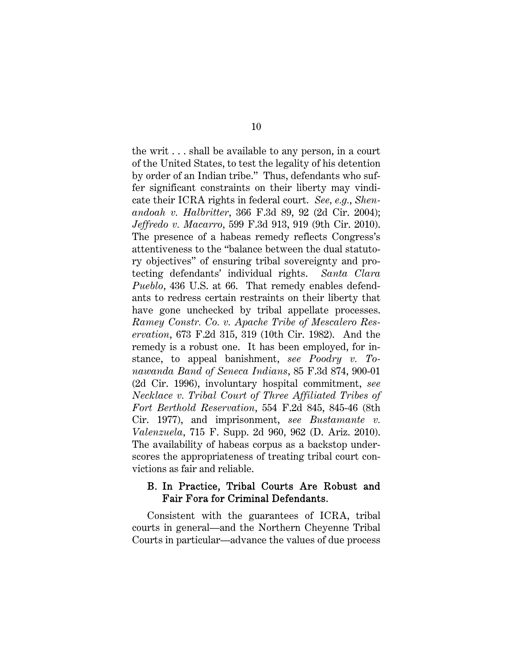the writ . . . shall be available to any person, in a court of the United States, to test the legality of his detention by order of an Indian tribe." Thus, defendants who suffer significant constraints on their liberty may vindicate their ICRA rights in federal court. *See, e.g.*, *Shenandoah v. Halbritter*, 366 F.3d 89, 92 (2d Cir. 2004); *Jeffredo v. Macarro*, 599 F.3d 913, 919 (9th Cir. 2010). The presence of a habeas remedy reflects Congress's attentiveness to the "balance between the dual statutory objectives" of ensuring tribal sovereignty and protecting defendants' individual rights. *Santa Clara Pueblo*, 436 U.S. at 66. That remedy enables defendants to redress certain restraints on their liberty that have gone unchecked by tribal appellate processes. *Ramey Constr. Co. v. Apache Tribe of Mescalero Reservation*, 673 F.2d 315, 319 (10th Cir. 1982). And the remedy is a robust one. It has been employed, for instance, to appeal banishment, *see Poodry v. Tonawanda Band of Seneca Indians*, 85 F.3d 874, 900-01 (2d Cir. 1996), involuntary hospital commitment, *see Necklace v. Tribal Court of Three Affiliated Tribes of Fort Berthold Reservation*, 554 F.2d 845, 845-46 (8th Cir. 1977), and imprisonment, *see Bustamante v. Valenzuela*, 715 F. Supp. 2d 960, 962 (D. Ariz. 2010). The availability of habeas corpus as a backstop underscores the appropriateness of treating tribal court convictions as fair and reliable.

### B. In Practice, Tribal Courts Are Robust and Fair Fora for Criminal Defendants.

Consistent with the guarantees of ICRA, tribal courts in general—and the Northern Cheyenne Tribal Courts in particular—advance the values of due process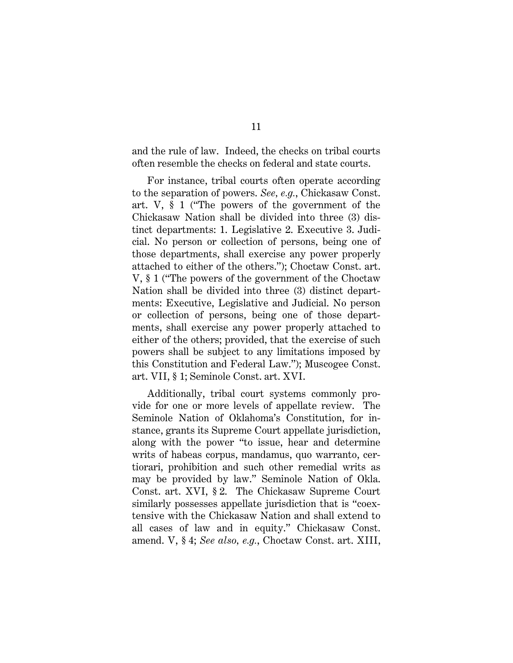and the rule of law. Indeed, the checks on tribal courts often resemble the checks on federal and state courts.

For instance, tribal courts often operate according to the separation of powers. *See, e.g.*, Chickasaw Const. art. V, § 1 ("The powers of the government of the Chickasaw Nation shall be divided into three (3) distinct departments: 1. Legislative 2. Executive 3. Judicial. No person or collection of persons, being one of those departments, shall exercise any power properly attached to either of the others."); Choctaw Const. art. V, § 1 ("The powers of the government of the Choctaw Nation shall be divided into three (3) distinct departments: Executive, Legislative and Judicial. No person or collection of persons, being one of those departments, shall exercise any power properly attached to either of the others; provided, that the exercise of such powers shall be subject to any limitations imposed by this Constitution and Federal Law."); Muscogee Const. art. VII, § 1; Seminole Const. art. XVI.

Additionally, tribal court systems commonly provide for one or more levels of appellate review. The Seminole Nation of Oklahoma's Constitution, for instance, grants its Supreme Court appellate jurisdiction, along with the power "to issue, hear and determine writs of habeas corpus, mandamus, quo warranto, certiorari, prohibition and such other remedial writs as may be provided by law." Seminole Nation of Okla. Const. art. XVI, § 2. The Chickasaw Supreme Court similarly possesses appellate jurisdiction that is "coextensive with the Chickasaw Nation and shall extend to all cases of law and in equity." Chickasaw Const. amend. V, § 4; *See also, e.g.*, Choctaw Const. art. XIII,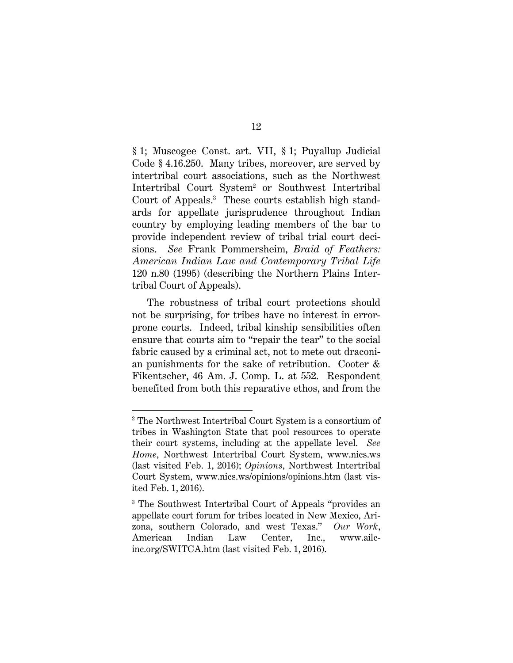§ 1; Muscogee Const. art. VII, § 1; Puyallup Judicial Code § 4.16.250. Many tribes, moreover, are served by intertribal court associations, such as the Northwest Intertribal Court System<sup>2</sup> or Southwest Intertribal Court of Appeals.3 These courts establish high standards for appellate jurisprudence throughout Indian country by employing leading members of the bar to provide independent review of tribal trial court decisions. *See* Frank Pommersheim, *Braid of Feathers: American Indian Law and Contemporary Tribal Life* 120 n.80 (1995) (describing the Northern Plains Intertribal Court of Appeals).

The robustness of tribal court protections should not be surprising, for tribes have no interest in errorprone courts. Indeed, tribal kinship sensibilities often ensure that courts aim to "repair the tear" to the social fabric caused by a criminal act, not to mete out draconian punishments for the sake of retribution. Cooter & Fikentscher, 46 Am. J. Comp. L. at 552. Respondent benefited from both this reparative ethos, and from the

 $\overline{a}$ 

<sup>2</sup> The Northwest Intertribal Court System is a consortium of tribes in Washington State that pool resources to operate their court systems, including at the appellate level. *See Home*, Northwest Intertribal Court System, www.nics.ws (last visited Feb. 1, 2016); *Opinions*, Northwest Intertribal Court System, www.nics.ws/opinions/opinions.htm (last visited Feb. 1, 2016).

<sup>3</sup> The Southwest Intertribal Court of Appeals "provides an appellate court forum for tribes located in New Mexico, Arizona, southern Colorado, and west Texas." *Our Work*, American Indian Law Center, Inc., www.ailcinc.org/SWITCA.htm (last visited Feb. 1, 2016).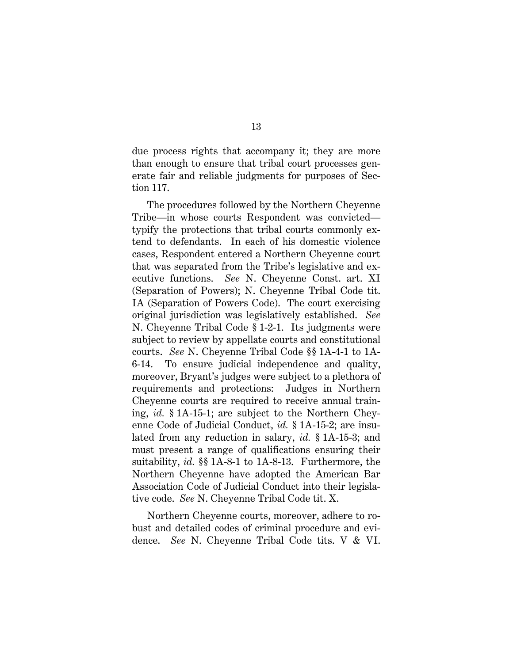due process rights that accompany it; they are more than enough to ensure that tribal court processes generate fair and reliable judgments for purposes of Section 117.

The procedures followed by the Northern Cheyenne Tribe—in whose courts Respondent was convicted typify the protections that tribal courts commonly extend to defendants. In each of his domestic violence cases, Respondent entered a Northern Cheyenne court that was separated from the Tribe's legislative and executive functions. *See* N. Cheyenne Const. art. XI (Separation of Powers); N. Cheyenne Tribal Code tit. IA (Separation of Powers Code). The court exercising original jurisdiction was legislatively established. *See*  N. Cheyenne Tribal Code § 1-2-1. Its judgments were subject to review by appellate courts and constitutional courts. *See* N. Cheyenne Tribal Code §§ 1A-4-1 to 1A-6-14. To ensure judicial independence and quality, moreover, Bryant's judges were subject to a plethora of requirements and protections: Judges in Northern Cheyenne courts are required to receive annual training, *id.* § 1A-15-1; are subject to the Northern Cheyenne Code of Judicial Conduct, *id.* § 1A-15-2; are insulated from any reduction in salary, *id.* § 1A-15-3; and must present a range of qualifications ensuring their suitability, *id.* §§ 1A-8-1 to 1A-8-13. Furthermore, the Northern Cheyenne have adopted the American Bar Association Code of Judicial Conduct into their legislative code. *See* N. Cheyenne Tribal Code tit. X.

Northern Cheyenne courts, moreover, adhere to robust and detailed codes of criminal procedure and evidence. *See* N. Cheyenne Tribal Code tits. V & VI.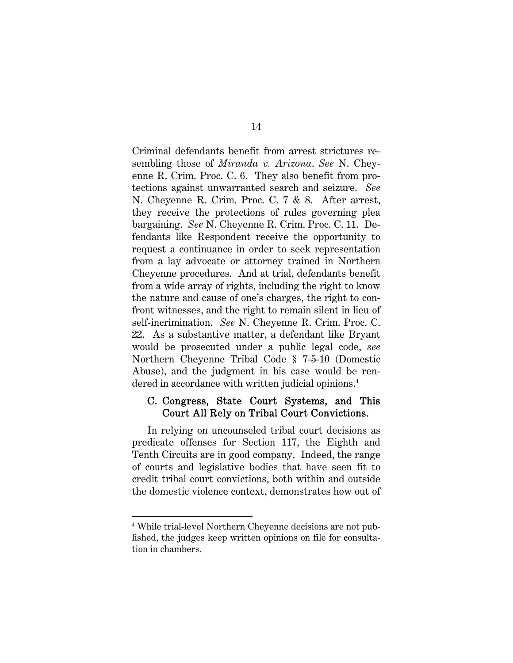Criminal defendants benefit from arrest strictures resembling those of *Miranda v. Arizona*. *See* N. Cheyenne R. Crim. Proc. C. 6. They also benefit from protections against unwarranted search and seizure. *See*  N. Cheyenne R. Crim. Proc. C. 7 & 8. After arrest, they receive the protections of rules governing plea bargaining. *See* N. Cheyenne R. Crim. Proc. C. 11. Defendants like Respondent receive the opportunity to request a continuance in order to seek representation from a lay advocate or attorney trained in Northern Cheyenne procedures. And at trial, defendants benefit from a wide array of rights, including the right to know the nature and cause of one's charges, the right to confront witnesses, and the right to remain silent in lieu of self-incrimination. *See* N. Cheyenne R. Crim. Proc. C. 22. As a substantive matter, a defendant like Bryant would be prosecuted under a public legal code, *see*  Northern Cheyenne Tribal Code § 7-5-10 (Domestic Abuse), and the judgment in his case would be rendered in accordance with written judicial opinions.<sup>4</sup>

### C. Congress, State Court Systems, and This Court All Rely on Tribal Court Convictions.

In relying on uncounseled tribal court decisions as predicate offenses for Section 117, the Eighth and Tenth Circuits are in good company. Indeed, the range of courts and legislative bodies that have seen fit to credit tribal court convictions, both within and outside the domestic violence context, demonstrates how out of

 $\overline{a}$ 

<sup>4</sup> While trial-level Northern Cheyenne decisions are not published, the judges keep written opinions on file for consultation in chambers.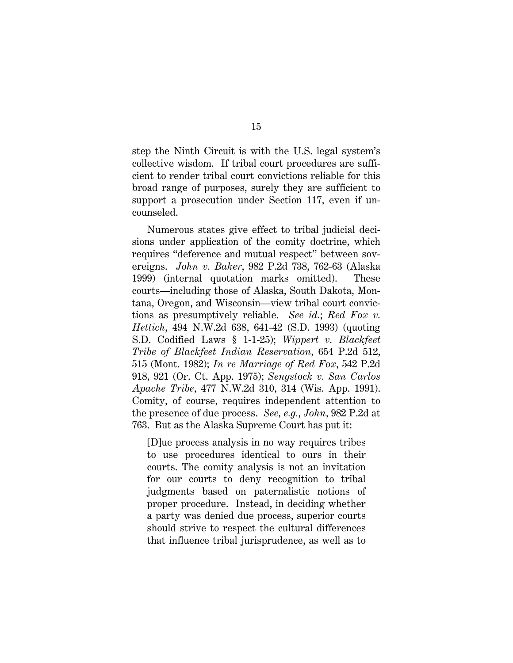step the Ninth Circuit is with the U.S. legal system's collective wisdom. If tribal court procedures are sufficient to render tribal court convictions reliable for this broad range of purposes, surely they are sufficient to support a prosecution under Section 117, even if uncounseled.

Numerous states give effect to tribal judicial decisions under application of the comity doctrine, which requires "deference and mutual respect" between sovereigns. *John v. Baker*, 982 P.2d 738, 762-63 (Alaska 1999) (internal quotation marks omitted). These courts—including those of Alaska, South Dakota, Montana, Oregon, and Wisconsin—view tribal court convictions as presumptively reliable. *See id.*; *Red Fox v. Hettich*, 494 N.W.2d 638, 641-42 (S.D. 1993) (quoting S.D. Codified Laws § 1-1-25); *Wippert v. Blackfeet Tribe of Blackfeet Indian Reservation*, 654 P.2d 512, 515 (Mont. 1982); *In re Marriage of Red Fox*, 542 P.2d 918, 921 (Or. Ct. App. 1975); *Sengstock v. San Carlos Apache Tribe*, 477 N.W.2d 310, 314 (Wis. App. 1991). Comity, of course, requires independent attention to the presence of due process. *See, e.g.*, *John*, 982 P.2d at 763. But as the Alaska Supreme Court has put it:

[D]ue process analysis in no way requires tribes to use procedures identical to ours in their courts. The comity analysis is not an invitation for our courts to deny recognition to tribal judgments based on paternalistic notions of proper procedure. Instead, in deciding whether a party was denied due process, superior courts should strive to respect the cultural differences that influence tribal jurisprudence, as well as to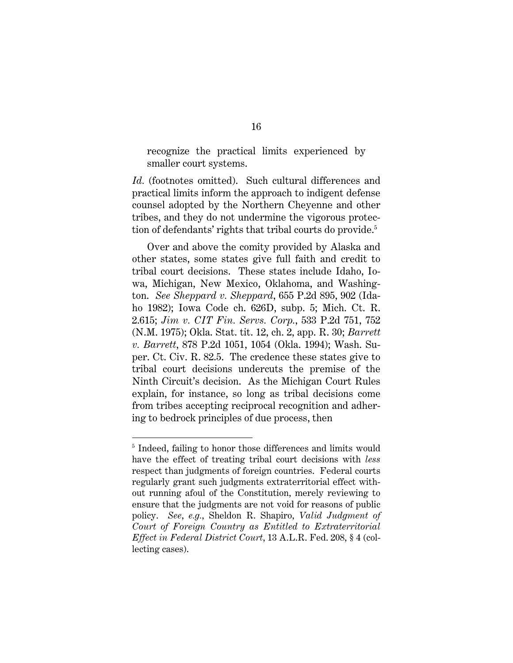recognize the practical limits experienced by smaller court systems.

Id. (footnotes omitted). Such cultural differences and practical limits inform the approach to indigent defense counsel adopted by the Northern Cheyenne and other tribes, and they do not undermine the vigorous protection of defendants' rights that tribal courts do provide.5

 Over and above the comity provided by Alaska and other states, some states give full faith and credit to tribal court decisions. These states include Idaho, Iowa, Michigan, New Mexico, Oklahoma, and Washington. *See Sheppard v. Sheppard*, 655 P.2d 895, 902 (Idaho 1982); Iowa Code ch. 626D, subp. 5; Mich. Ct. R. 2.615; *Jim v. CIT Fin. Servs. Corp.*, 533 P.2d 751, 752 (N.M. 1975); Okla. Stat. tit. 12, ch. 2, app. R. 30; *Barrett v. Barrett*, 878 P.2d 1051, 1054 (Okla. 1994); Wash. Super. Ct. Civ. R. 82.5. The credence these states give to tribal court decisions undercuts the premise of the Ninth Circuit's decision. As the Michigan Court Rules explain, for instance, so long as tribal decisions come from tribes accepting reciprocal recognition and adhering to bedrock principles of due process, then

 $\overline{a}$ 

<sup>&</sup>lt;sup>5</sup> Indeed, failing to honor those differences and limits would have the effect of treating tribal court decisions with *less* respect than judgments of foreign countries. Federal courts regularly grant such judgments extraterritorial effect without running afoul of the Constitution, merely reviewing to ensure that the judgments are not void for reasons of public policy. *See*, *e.g.*, Sheldon R. Shapiro, *Valid Judgment of Court of Foreign Country as Entitled to Extraterritorial Effect in Federal District Court*, 13 A.L.R. Fed. 208, § 4 (collecting cases).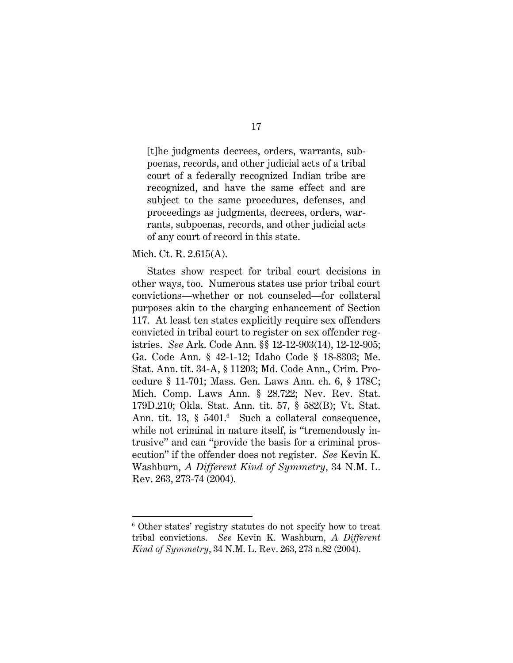[t]he judgments decrees, orders, warrants, subpoenas, records, and other judicial acts of a tribal court of a federally recognized Indian tribe are recognized, and have the same effect and are subject to the same procedures, defenses, and proceedings as judgments, decrees, orders, warrants, subpoenas, records, and other judicial acts of any court of record in this state.

#### Mich. Ct. R. 2.615(A).

 $\overline{a}$ 

States show respect for tribal court decisions in other ways, too. Numerous states use prior tribal court convictions—whether or not counseled—for collateral purposes akin to the charging enhancement of Section 117. At least ten states explicitly require sex offenders convicted in tribal court to register on sex offender registries. *See* Ark. Code Ann. §§ 12-12-903(14), 12-12-905; Ga. Code Ann. § 42-1-12; Idaho Code § 18-8303; Me. Stat. Ann. tit. 34-A, § 11203; Md. Code Ann., Crim. Procedure § 11-701; Mass. Gen. Laws Ann. ch. 6, § 178C; Mich. Comp. Laws Ann. § 28.722; Nev. Rev. Stat. 179D.210; Okla. Stat. Ann. tit. 57, § 582(B); Vt. Stat. Ann. tit. 13, § 5401.<sup>6</sup> Such a collateral consequence, while not criminal in nature itself, is "tremendously intrusive" and can "provide the basis for a criminal prosecution" if the offender does not register. *See* Kevin K. Washburn, *A Different Kind of Symmetry*, 34 N.M. L. Rev. 263, 273-74 (2004).

<sup>6</sup> Other states' registry statutes do not specify how to treat tribal convictions. *See* Kevin K. Washburn, *A Different Kind of Symmetry*, 34 N.M. L. Rev. 263, 273 n.82 (2004).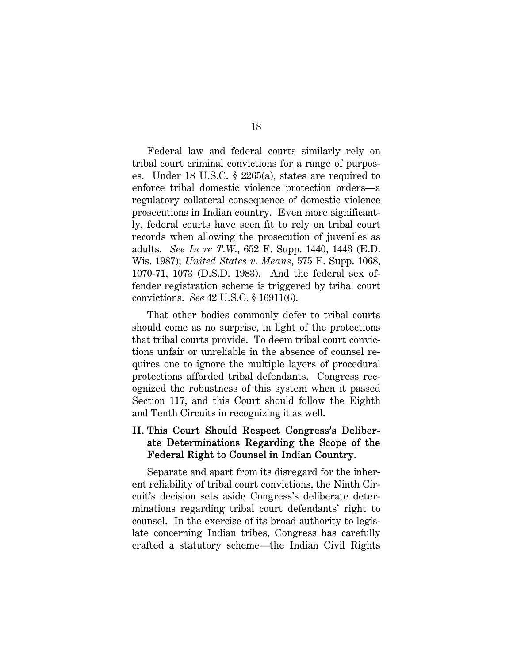Federal law and federal courts similarly rely on tribal court criminal convictions for a range of purposes. Under 18 U.S.C. § 2265(a), states are required to enforce tribal domestic violence protection orders—a regulatory collateral consequence of domestic violence prosecutions in Indian country. Even more significantly, federal courts have seen fit to rely on tribal court records when allowing the prosecution of juveniles as adults. *See In re T.W.*, 652 F. Supp. 1440, 1443 (E.D. Wis. 1987); *United States v. Means*, 575 F. Supp. 1068, 1070-71, 1073 (D.S.D. 1983). And the federal sex offender registration scheme is triggered by tribal court convictions. *See* 42 U.S.C. § 16911(6).

That other bodies commonly defer to tribal courts should come as no surprise, in light of the protections that tribal courts provide. To deem tribal court convictions unfair or unreliable in the absence of counsel requires one to ignore the multiple layers of procedural protections afforded tribal defendants. Congress recognized the robustness of this system when it passed Section 117, and this Court should follow the Eighth and Tenth Circuits in recognizing it as well.

## II. This Court Should Respect Congress's Deliberate Determinations Regarding the Scope of the Federal Right to Counsel in Indian Country.

Separate and apart from its disregard for the inherent reliability of tribal court convictions, the Ninth Circuit's decision sets aside Congress's deliberate determinations regarding tribal court defendants' right to counsel. In the exercise of its broad authority to legislate concerning Indian tribes, Congress has carefully crafted a statutory scheme—the Indian Civil Rights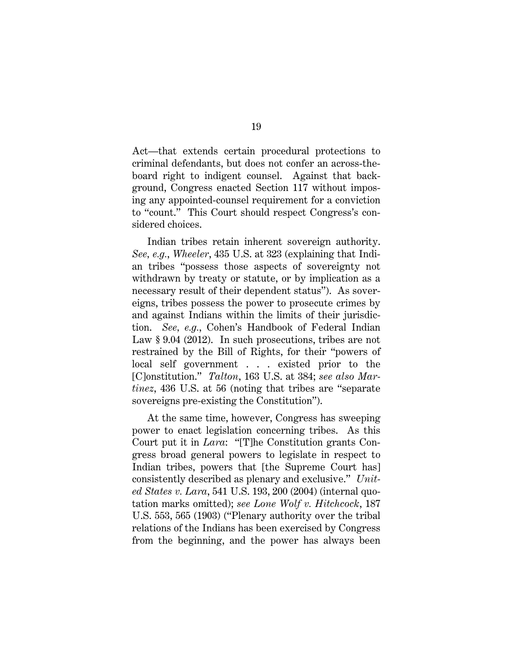Act—that extends certain procedural protections to criminal defendants, but does not confer an across-theboard right to indigent counsel. Against that background, Congress enacted Section 117 without imposing any appointed-counsel requirement for a conviction to "count." This Court should respect Congress's considered choices.

Indian tribes retain inherent sovereign authority. *See, e.g.*, *Wheeler*, 435 U.S. at 323 (explaining that Indian tribes "possess those aspects of sovereignty not withdrawn by treaty or statute, or by implication as a necessary result of their dependent status"). As sovereigns, tribes possess the power to prosecute crimes by and against Indians within the limits of their jurisdiction. *See, e.g.*, Cohen's Handbook of Federal Indian Law § 9.04 (2012). In such prosecutions, tribes are not restrained by the Bill of Rights, for their "powers of local self government . . . existed prior to the [C]onstitution." *Talton*, 163 U.S. at 384; *see also Martinez*, 436 U.S. at 56 (noting that tribes are "separate sovereigns pre-existing the Constitution").

At the same time, however, Congress has sweeping power to enact legislation concerning tribes. As this Court put it in *Lara*: "[T]he Constitution grants Congress broad general powers to legislate in respect to Indian tribes, powers that [the Supreme Court has] consistently described as plenary and exclusive." *United States v. Lara*, 541 U.S. 193, 200 (2004) (internal quotation marks omitted); *see Lone Wolf v. Hitchcock*, 187 U.S. 553, 565 (1903) ("Plenary authority over the tribal relations of the Indians has been exercised by Congress from the beginning, and the power has always been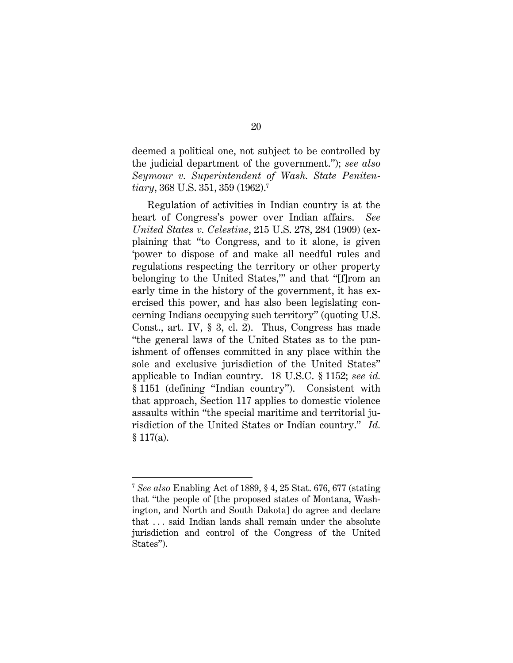deemed a political one, not subject to be controlled by the judicial department of the government."); *see also Seymour v. Superintendent of Wash. State Penitentiary*, 368 U.S. 351, 359 (1962).7

Regulation of activities in Indian country is at the heart of Congress's power over Indian affairs. *See United States v. Celestine*, 215 U.S. 278, 284 (1909) (explaining that "to Congress, and to it alone, is given 'power to dispose of and make all needful rules and regulations respecting the territory or other property belonging to the United States,'" and that "[f]rom an early time in the history of the government, it has exercised this power, and has also been legislating concerning Indians occupying such territory" (quoting U.S. Const., art. IV, § 3, cl. 2). Thus, Congress has made "the general laws of the United States as to the punishment of offenses committed in any place within the sole and exclusive jurisdiction of the United States" applicable to Indian country. 18 U.S.C. § 1152; *see id.* § 1151 (defining "Indian country"). Consistent with that approach, Section 117 applies to domestic violence assaults within "the special maritime and territorial jurisdiction of the United States or Indian country." *Id.*  $$117(a).$ 

 $\overline{a}$ 

<sup>7</sup> *See also* Enabling Act of 1889, § 4, 25 Stat. 676, 677 (stating that "the people of [the proposed states of Montana, Washington, and North and South Dakota] do agree and declare that . . . said Indian lands shall remain under the absolute jurisdiction and control of the Congress of the United States").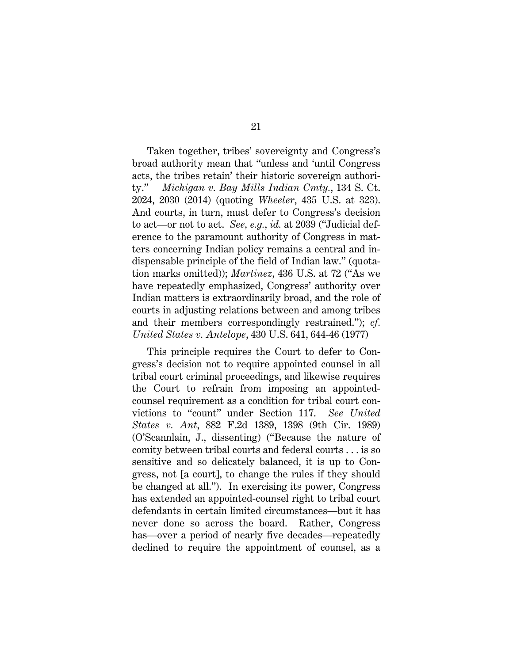Taken together, tribes' sovereignty and Congress's broad authority mean that "unless and 'until Congress acts, the tribes retain' their historic sovereign authority." *Michigan v. Bay Mills Indian Cmty.*, 134 S. Ct. 2024, 2030 (2014) (quoting *Wheeler*, 435 U.S. at 323). And courts, in turn, must defer to Congress's decision to act—or not to act. *See, e.g.*, *id.* at 2039 ("Judicial deference to the paramount authority of Congress in matters concerning Indian policy remains a central and indispensable principle of the field of Indian law." (quotation marks omitted)); *Martinez*, 436 U.S. at 72 ("As we have repeatedly emphasized, Congress' authority over Indian matters is extraordinarily broad, and the role of courts in adjusting relations between and among tribes and their members correspondingly restrained."); *cf. United States v. Antelope*, 430 U.S. 641, 644-46 (1977)

This principle requires the Court to defer to Congress's decision not to require appointed counsel in all tribal court criminal proceedings, and likewise requires the Court to refrain from imposing an appointedcounsel requirement as a condition for tribal court convictions to "count" under Section 117. *See United States v. Ant*, 882 F.2d 1389, 1398 (9th Cir. 1989) (O'Scannlain, J., dissenting) ("Because the nature of comity between tribal courts and federal courts . . . is so sensitive and so delicately balanced, it is up to Congress, not [a court], to change the rules if they should be changed at all."). In exercising its power, Congress has extended an appointed-counsel right to tribal court defendants in certain limited circumstances—but it has never done so across the board. Rather, Congress has—over a period of nearly five decades—repeatedly declined to require the appointment of counsel, as a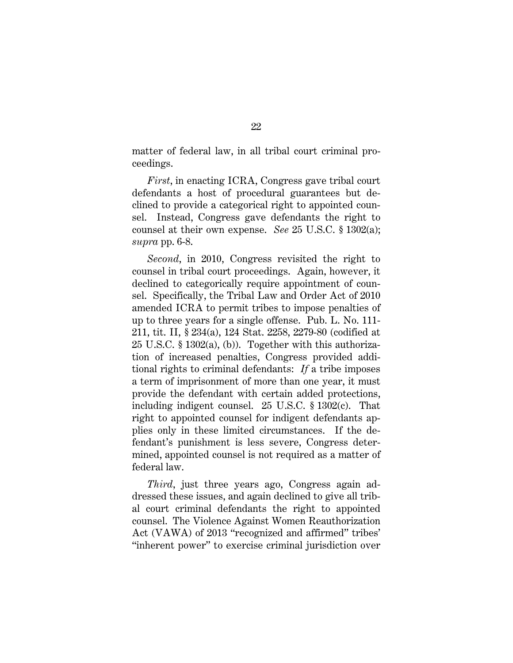matter of federal law, in all tribal court criminal proceedings.

*First*, in enacting ICRA, Congress gave tribal court defendants a host of procedural guarantees but declined to provide a categorical right to appointed counsel. Instead, Congress gave defendants the right to counsel at their own expense. *See* 25 U.S.C. § 1302(a); *supra* pp. 6-8.

*Second*, in 2010, Congress revisited the right to counsel in tribal court proceedings. Again, however, it declined to categorically require appointment of counsel. Specifically, the Tribal Law and Order Act of 2010 amended ICRA to permit tribes to impose penalties of up to three years for a single offense. Pub. L. No. 111- 211, tit. II, § 234(a), 124 Stat. 2258, 2279-80 (codified at 25 U.S.C. § 1302(a), (b)). Together with this authorization of increased penalties, Congress provided additional rights to criminal defendants: *If* a tribe imposes a term of imprisonment of more than one year, it must provide the defendant with certain added protections, including indigent counsel. 25 U.S.C. § 1302(c). That right to appointed counsel for indigent defendants applies only in these limited circumstances. If the defendant's punishment is less severe, Congress determined, appointed counsel is not required as a matter of federal law.

*Third*, just three years ago, Congress again addressed these issues, and again declined to give all tribal court criminal defendants the right to appointed counsel. The Violence Against Women Reauthorization Act (VAWA) of 2013 "recognized and affirmed" tribes' "inherent power" to exercise criminal jurisdiction over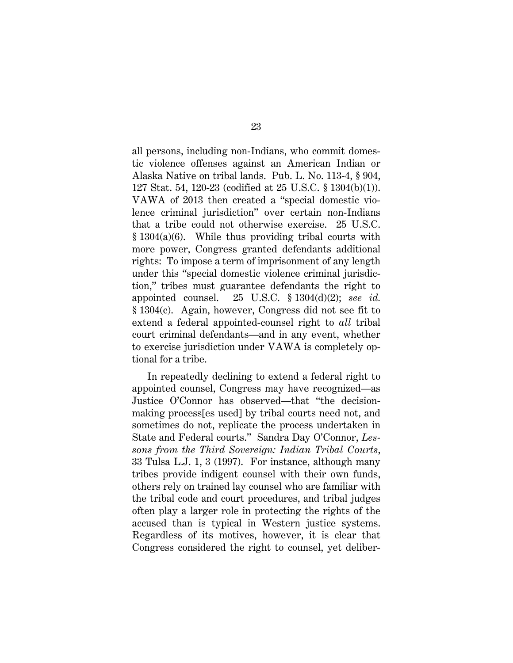all persons, including non-Indians, who commit domestic violence offenses against an American Indian or Alaska Native on tribal lands. Pub. L. No. 113-4, § 904, 127 Stat. 54, 120-23 (codified at 25 U.S.C. § 1304(b)(1)). VAWA of 2013 then created a "special domestic violence criminal jurisdiction" over certain non-Indians that a tribe could not otherwise exercise. 25 U.S.C. § 1304(a)(6). While thus providing tribal courts with more power, Congress granted defendants additional rights: To impose a term of imprisonment of any length under this "special domestic violence criminal jurisdiction," tribes must guarantee defendants the right to appointed counsel. 25 U.S.C. § 1304(d)(2); *see id.* § 1304(c). Again, however, Congress did not see fit to extend a federal appointed-counsel right to *all* tribal court criminal defendants—and in any event, whether to exercise jurisdiction under VAWA is completely optional for a tribe.

In repeatedly declining to extend a federal right to appointed counsel, Congress may have recognized—as Justice O'Connor has observed—that "the decisionmaking process[es used] by tribal courts need not, and sometimes do not, replicate the process undertaken in State and Federal courts." Sandra Day O'Connor, *Lessons from the Third Sovereign: Indian Tribal Courts*, 33 Tulsa L.J. 1, 3 (1997). For instance, although many tribes provide indigent counsel with their own funds, others rely on trained lay counsel who are familiar with the tribal code and court procedures, and tribal judges often play a larger role in protecting the rights of the accused than is typical in Western justice systems. Regardless of its motives, however, it is clear that Congress considered the right to counsel, yet deliber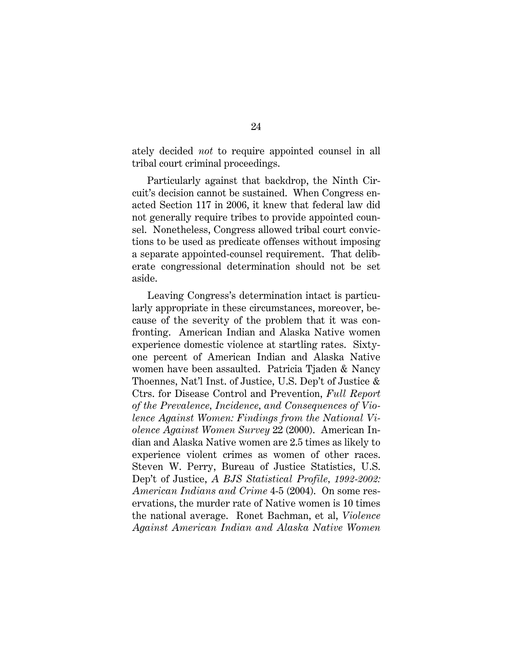ately decided *not* to require appointed counsel in all tribal court criminal proceedings.

Particularly against that backdrop, the Ninth Circuit's decision cannot be sustained. When Congress enacted Section 117 in 2006, it knew that federal law did not generally require tribes to provide appointed counsel. Nonetheless, Congress allowed tribal court convictions to be used as predicate offenses without imposing a separate appointed-counsel requirement. That deliberate congressional determination should not be set aside.

 Leaving Congress's determination intact is particularly appropriate in these circumstances, moreover, because of the severity of the problem that it was confronting. American Indian and Alaska Native women experience domestic violence at startling rates. Sixtyone percent of American Indian and Alaska Native women have been assaulted. Patricia Tjaden & Nancy Thoennes, Nat'l Inst. of Justice, U.S. Dep't of Justice & Ctrs. for Disease Control and Prevention, *Full Report of the Prevalence, Incidence, and Consequences of Violence Against Women: Findings from the National Violence Against Women Survey* 22 (2000). American Indian and Alaska Native women are 2.5 times as likely to experience violent crimes as women of other races. Steven W. Perry, Bureau of Justice Statistics, U.S. Dep't of Justice, *A BJS Statistical Profile, 1992-2002: American Indians and Crime* 4-5 (2004). On some reservations, the murder rate of Native women is 10 times the national average. Ronet Bachman, et al, *Violence Against American Indian and Alaska Native Women*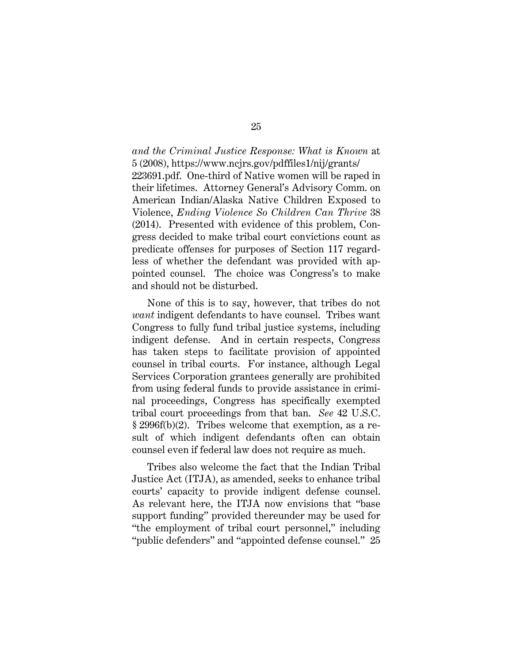*and the Criminal Justice Response: What is Known* at 5 (2008), https://www.ncjrs.gov/pdffiles1/nij/grants/ 223691.pdf. One-third of Native women will be raped in their lifetimes. Attorney General's Advisory Comm. on American Indian/Alaska Native Children Exposed to Violence, *Ending Violence So Children Can Thrive* 38 (2014). Presented with evidence of this problem, Congress decided to make tribal court convictions count as predicate offenses for purposes of Section 117 regardless of whether the defendant was provided with appointed counsel. The choice was Congress's to make and should not be disturbed.

None of this is to say, however, that tribes do not *want* indigent defendants to have counsel. Tribes want Congress to fully fund tribal justice systems, including indigent defense. And in certain respects, Congress has taken steps to facilitate provision of appointed counsel in tribal courts. For instance, although Legal Services Corporation grantees generally are prohibited from using federal funds to provide assistance in criminal proceedings, Congress has specifically exempted tribal court proceedings from that ban. *See* 42 U.S.C. § 2996f(b)(2). Tribes welcome that exemption, as a result of which indigent defendants often can obtain counsel even if federal law does not require as much.

Tribes also welcome the fact that the Indian Tribal Justice Act (ITJA), as amended, seeks to enhance tribal courts' capacity to provide indigent defense counsel. As relevant here, the ITJA now envisions that "base support funding" provided thereunder may be used for "the employment of tribal court personnel," including "public defenders" and "appointed defense counsel." 25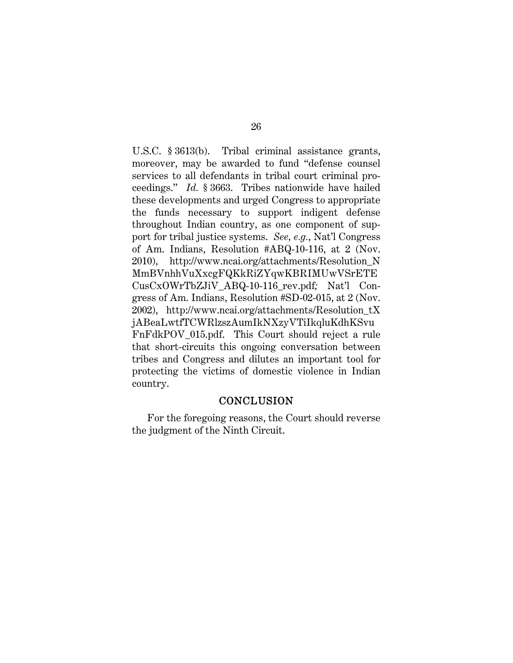U.S.C. § 3613(b). Tribal criminal assistance grants, moreover, may be awarded to fund "defense counsel services to all defendants in tribal court criminal proceedings." *Id.* § 3663. Tribes nationwide have hailed these developments and urged Congress to appropriate the funds necessary to support indigent defense throughout Indian country, as one component of support for tribal justice systems. *See, e.g.*, Nat'l Congress of Am. Indians, Resolution #ABQ-10-116, at 2 (Nov. 2010), http://www.ncai.org/attachments/Resolution\_N MmBVnhhVuXxcgFQKkRiZYqwKBRIMUwVSrETE CusCxOWrTbZJiV\_ABQ-10-116\_rev.pdf*;* Nat'l Congress of Am. Indians, Resolution #SD-02-015, at 2 (Nov. 2002), http://www.ncai.org/attachments/Resolution\_tX jABeaLwtfTCWRlzszAumIkNXzyVTiIkqluKdhKSvu FnFdkPOV\_015.pdf. This Court should reject a rule that short-circuits this ongoing conversation between tribes and Congress and dilutes an important tool for protecting the victims of domestic violence in Indian country.

#### **CONCLUSION**

 For the foregoing reasons, the Court should reverse the judgment of the Ninth Circuit.